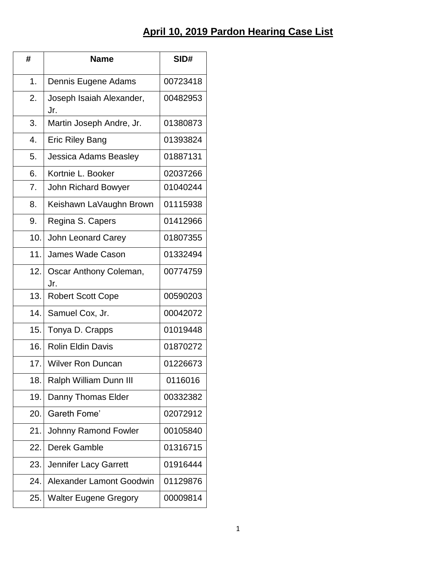## **April 10, 2019 Pardon Hearing Case List**

| #   | <b>Name</b>                     | SID#     |
|-----|---------------------------------|----------|
| 1.  | Dennis Eugene Adams             | 00723418 |
| 2.  | Joseph Isaiah Alexander,<br>Jr. | 00482953 |
| 3.  | Martin Joseph Andre, Jr.        | 01380873 |
| 4.  | <b>Eric Riley Bang</b>          | 01393824 |
| 5.  | Jessica Adams Beasley           | 01887131 |
| 6.  | Kortnie L. Booker               | 02037266 |
| 7.  | John Richard Bowyer             | 01040244 |
| 8.  | Keishawn LaVaughn Brown         | 01115938 |
| 9.  | Regina S. Capers                | 01412966 |
| 10. | John Leonard Carey              | 01807355 |
| 11. | James Wade Cason                | 01332494 |
| 12. | Oscar Anthony Coleman,<br>Jr.   | 00774759 |
| 13. | <b>Robert Scott Cope</b>        | 00590203 |
| 14. | Samuel Cox, Jr.                 | 00042072 |
| 15. | Tonya D. Crapps                 | 01019448 |
| 16. | <b>Rolin Eldin Davis</b>        | 01870272 |
|     | 17. Wilver Ron Duncan           | 01226673 |
| 18. | Ralph William Dunn III          | 0116016  |
| 19. | Danny Thomas Elder              | 00332382 |
| 20. | Gareth Fome'                    | 02072912 |
| 21. | Johnny Ramond Fowler            | 00105840 |
| 22. | Derek Gamble                    | 01316715 |
| 23. | Jennifer Lacy Garrett           | 01916444 |
| 24. | Alexander Lamont Goodwin        | 01129876 |
| 25. | <b>Walter Eugene Gregory</b>    | 00009814 |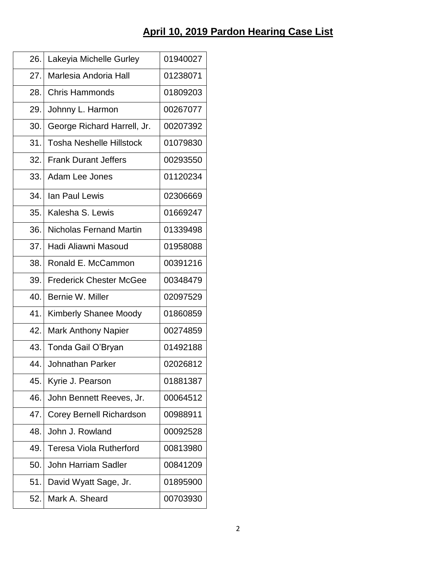## **April 10, 2019 Pardon Hearing Case List**

| 01940027 |
|----------|
| 01238071 |
| 01809203 |
| 00267077 |
| 00207392 |
| 01079830 |
| 00293550 |
| 01120234 |
| 02306669 |
| 01669247 |
| 01339498 |
| 01958088 |
| 00391216 |
| 00348479 |
| 02097529 |
| 01860859 |
| 00274859 |
| 01492188 |
| 02026812 |
| 01881387 |
| 00064512 |
| 00988911 |
| 00092528 |
|          |
| 00813980 |
| 00841209 |
| 01895900 |
|          |